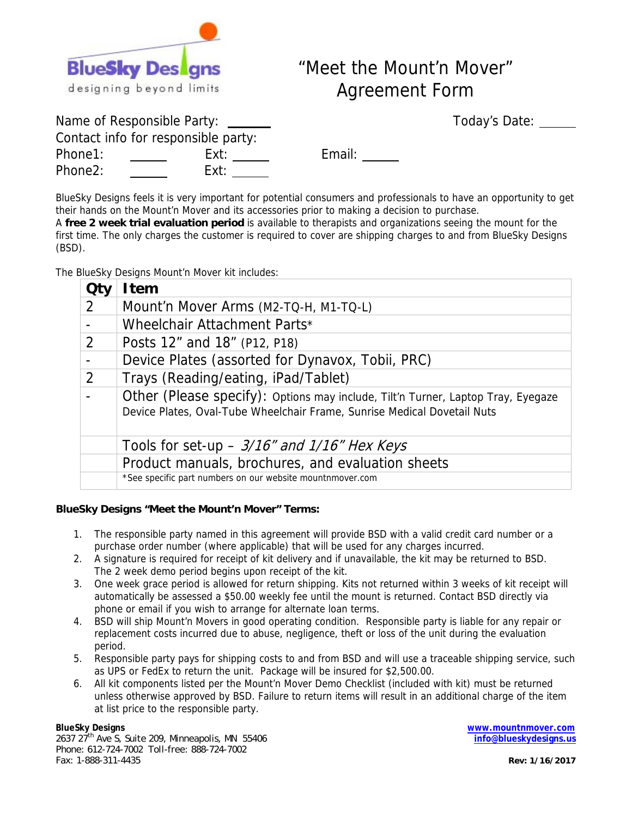

## "Meet the Mount'n Mover" Agreement Form

Today's Date: Today's Date:

|                                     | Name of Responsible Party: __ |  |  |  |
|-------------------------------------|-------------------------------|--|--|--|
| Contact info for responsible party: |                               |  |  |  |
| Phone1:                             | Ext:                          |  |  |  |
| Phone2:                             | Ext:                          |  |  |  |

Email: \_\_\_\_\_

BlueSky Designs feels it is very important for potential consumers and professionals to have an opportunity to get their hands on the Mount'n Mover and its accessories prior to making a decision to purchase.

A **free 2 week trial evaluation period** is available to therapists and organizations seeing the mount for the first time. The only charges the customer is required to cover are shipping charges to and from BlueSky Designs (BSD).

The BlueSky Designs Mount'n Mover kit includes:

|   | l tem                                                                                                                                                        |
|---|--------------------------------------------------------------------------------------------------------------------------------------------------------------|
| 2 | Mount'n Mover Arms (M2-TQ-H, M1-TQ-L)                                                                                                                        |
|   | Wheelchair Attachment Parts*                                                                                                                                 |
| 2 | Posts 12" and 18" (P12, P18)                                                                                                                                 |
|   | Device Plates (assorted for Dynavox, Tobii, PRC)                                                                                                             |
| 2 | Trays (Reading/eating, iPad/Tablet)                                                                                                                          |
|   | Other (Please specify): Options may include, Tilt'n Turner, Laptop Tray, Eyegaze<br>Device Plates, Oval-Tube Wheelchair Frame, Sunrise Medical Dovetail Nuts |
|   | Tools for set-up - 3/16" and 1/16" Hex Keys                                                                                                                  |
|   | Product manuals, brochures, and evaluation sheets                                                                                                            |
|   | *See specific part numbers on our website mountnmover.com                                                                                                    |

## **BlueSky Designs "Meet the Mount'n Mover" Terms:**

- 1. The responsible party named in this agreement will provide BSD with a valid credit card number or a purchase order number (where applicable) that will be used for any charges incurred.
- 2. A signature is required for receipt of kit delivery and if unavailable, the kit may be returned to BSD. The 2 week demo period begins upon receipt of the kit.
- 3. One week grace period is allowed for return shipping. Kits not returned within 3 weeks of kit receipt will automatically be assessed a \$50.00 weekly fee until the mount is returned. Contact BSD directly via phone or email if you wish to arrange for alternate loan terms.
- 4. BSD will ship Mount'n Movers in good operating condition. Responsible party is liable for any repair or replacement costs incurred due to abuse, negligence, theft or loss of the unit during the evaluation period.
- 5. Responsible party pays for shipping costs to and from BSD and will use a traceable shipping service, such as UPS or FedEx to return the unit. Package will be insured for \$2,500.00.
- 6. All kit components listed per the Mount'n Mover Demo Checklist (included with kit) must be returned unless otherwise approved by BSD. Failure to return items will result in an additional charge of the item at list price to the responsible party.

**BlueSky Designs** 

2637 27<sup>th</sup> Ave S, Suite 209, Minneapolis, MN 55406 Phone: 612-724-7002 Toll-free: 888-724-7002 Fax: 1-888-311-4435

**www.mountnmover.com info@blueskydesigns.us**